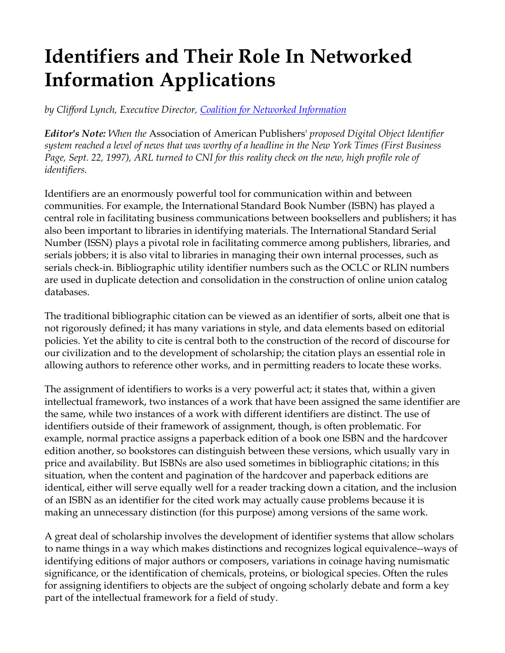# **Identifiers and Their Role In Networked Information Applications**

*by Clifford Lynch, Executive Director, Coalition for Networked Information*

*Editor's Note: When the* Association of American Publishers' *proposed Digital Object Identifier system reached a level of news that was worthy of a headline in the New York Times (First Business Page, Sept. 22, 1997), ARL turned to CNI for this reality check on the new, high profile role of identifiers.*

Identifiers are an enormously powerful tool for communication within and between communities. For example, the International Standard Book Number (ISBN) has played a central role in facilitating business communications between booksellers and publishers; it has also been important to libraries in identifying materials. The International Standard Serial Number (ISSN) plays a pivotal role in facilitating commerce among publishers, libraries, and serials jobbers; it is also vital to libraries in managing their own internal processes, such as serials check-in. Bibliographic utility identifier numbers such as the OCLC or RLIN numbers are used in duplicate detection and consolidation in the construction of online union catalog databases.

The traditional bibliographic citation can be viewed as an identifier of sorts, albeit one that is not rigorously defined; it has many variations in style, and data elements based on editorial policies. Yet the ability to cite is central both to the construction of the record of discourse for our civilization and to the development of scholarship; the citation plays an essential role in allowing authors to reference other works, and in permitting readers to locate these works.

The assignment of identifiers to works is a very powerful act; it states that, within a given intellectual framework, two instances of a work that have been assigned the same identifier are the same, while two instances of a work with different identifiers are distinct. The use of identifiers outside of their framework of assignment, though, is often problematic. For example, normal practice assigns a paperback edition of a book one ISBN and the hardcover edition another, so bookstores can distinguish between these versions, which usually vary in price and availability. But ISBNs are also used sometimes in bibliographic citations; in this situation, when the content and pagination of the hardcover and paperback editions are identical, either will serve equally well for a reader tracking down a citation, and the inclusion of an ISBN as an identifier for the cited work may actually cause problems because it is making an unnecessary distinction (for this purpose) among versions of the same work.

A great deal of scholarship involves the development of identifier systems that allow scholars to name things in a way which makes distinctions and recognizes logical equivalence--ways of identifying editions of major authors or composers, variations in coinage having numismatic significance, or the identification of chemicals, proteins, or biological species. Often the rules for assigning identifiers to objects are the subject of ongoing scholarly debate and form a key part of the intellectual framework for a field of study.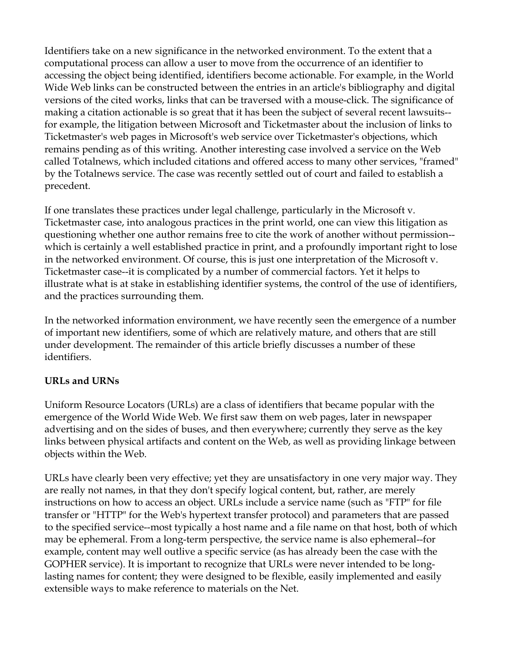Identifiers take on a new significance in the networked environment. To the extent that a computational process can allow a user to move from the occurrence of an identifier to accessing the object being identified, identifiers become actionable. For example, in the World Wide Web links can be constructed between the entries in an article's bibliography and digital versions of the cited works, links that can be traversed with a mouse-click. The significance of making a citation actionable is so great that it has been the subject of several recent lawsuits- for example, the litigation between Microsoft and Ticketmaster about the inclusion of links to Ticketmaster's web pages in Microsoft's web service over Ticketmaster's objections, which remains pending as of this writing. Another interesting case involved a service on the Web called Totalnews, which included citations and offered access to many other services, "framed" by the Totalnews service. The case was recently settled out of court and failed to establish a precedent.

If one translates these practices under legal challenge, particularly in the Microsoft v. Ticketmaster case, into analogous practices in the print world, one can view this litigation as questioning whether one author remains free to cite the work of another without permission- which is certainly a well established practice in print, and a profoundly important right to lose in the networked environment. Of course, this is just one interpretation of the Microsoft v. Ticketmaster case--it is complicated by a number of commercial factors. Yet it helps to illustrate what is at stake in establishing identifier systems, the control of the use of identifiers, and the practices surrounding them.

In the networked information environment, we have recently seen the emergence of a number of important new identifiers, some of which are relatively mature, and others that are still under development. The remainder of this article briefly discusses a number of these identifiers.

## **URLs and URNs**

Uniform Resource Locators (URLs) are a class of identifiers that became popular with the emergence of the World Wide Web. We first saw them on web pages, later in newspaper advertising and on the sides of buses, and then everywhere; currently they serve as the key links between physical artifacts and content on the Web, as well as providing linkage between objects within the Web.

URLs have clearly been very effective; yet they are unsatisfactory in one very major way. They are really not names, in that they don't specify logical content, but, rather, are merely instructions on how to access an object. URLs include a service name (such as "FTP" for file transfer or "HTTP" for the Web's hypertext transfer protocol) and parameters that are passed to the specified service--most typically a host name and a file name on that host, both of which may be ephemeral. From a long-term perspective, the service name is also ephemeral--for example, content may well outlive a specific service (as has already been the case with the GOPHER service). It is important to recognize that URLs were never intended to be longlasting names for content; they were designed to be flexible, easily implemented and easily extensible ways to make reference to materials on the Net.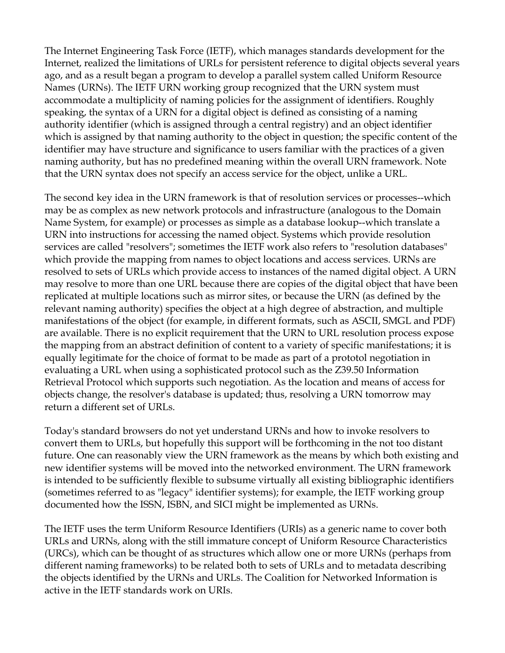The Internet Engineering Task Force (IETF), which manages standards development for the Internet, realized the limitations of URLs for persistent reference to digital objects several years ago, and as a result began a program to develop a parallel system called Uniform Resource Names (URNs). The IETF URN working group recognized that the URN system must accommodate a multiplicity of naming policies for the assignment of identifiers. Roughly speaking, the syntax of a URN for a digital object is defined as consisting of a naming authority identifier (which is assigned through a central registry) and an object identifier which is assigned by that naming authority to the object in question; the specific content of the identifier may have structure and significance to users familiar with the practices of a given naming authority, but has no predefined meaning within the overall URN framework. Note that the URN syntax does not specify an access service for the object, unlike a URL.

The second key idea in the URN framework is that of resolution services or processes--which may be as complex as new network protocols and infrastructure (analogous to the Domain Name System, for example) or processes as simple as a database lookup--which translate a URN into instructions for accessing the named object. Systems which provide resolution services are called "resolvers"; sometimes the IETF work also refers to "resolution databases" which provide the mapping from names to object locations and access services. URNs are resolved to sets of URLs which provide access to instances of the named digital object. A URN may resolve to more than one URL because there are copies of the digital object that have been replicated at multiple locations such as mirror sites, or because the URN (as defined by the relevant naming authority) specifies the object at a high degree of abstraction, and multiple manifestations of the object (for example, in different formats, such as ASCII, SMGL and PDF) are available. There is no explicit requirement that the URN to URL resolution process expose the mapping from an abstract definition of content to a variety of specific manifestations; it is equally legitimate for the choice of format to be made as part of a prototol negotiation in evaluating a URL when using a sophisticated protocol such as the Z39.50 Information Retrieval Protocol which supports such negotiation. As the location and means of access for objects change, the resolver's database is updated; thus, resolving a URN tomorrow may return a different set of URLs.

Today's standard browsers do not yet understand URNs and how to invoke resolvers to convert them to URLs, but hopefully this support will be forthcoming in the not too distant future. One can reasonably view the URN framework as the means by which both existing and new identifier systems will be moved into the networked environment. The URN framework is intended to be sufficiently flexible to subsume virtually all existing bibliographic identifiers (sometimes referred to as "legacy" identifier systems); for example, the IETF working group documented how the ISSN, ISBN, and SICI might be implemented as URNs.

The IETF uses the term Uniform Resource Identifiers (URIs) as a generic name to cover both URLs and URNs, along with the still immature concept of Uniform Resource Characteristics (URCs), which can be thought of as structures which allow one or more URNs (perhaps from different naming frameworks) to be related both to sets of URLs and to metadata describing the objects identified by the URNs and URLs. The Coalition for Networked Information is active in the IETF standards work on URIs.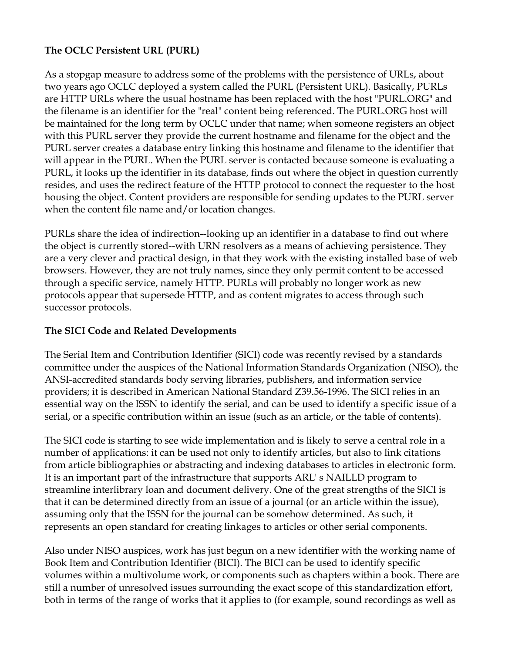## **The OCLC Persistent URL (PURL)**

As a stopgap measure to address some of the problems with the persistence of URLs, about two years ago OCLC deployed a system called the PURL (Persistent URL). Basically, PURLs are HTTP URLs where the usual hostname has been replaced with the host "PURL.ORG" and the filename is an identifier for the "real" content being referenced. The PURL.ORG host will be maintained for the long term by OCLC under that name; when someone registers an object with this PURL server they provide the current hostname and filename for the object and the PURL server creates a database entry linking this hostname and filename to the identifier that will appear in the PURL. When the PURL server is contacted because someone is evaluating a PURL, it looks up the identifier in its database, finds out where the object in question currently resides, and uses the redirect feature of the HTTP protocol to connect the requester to the host housing the object. Content providers are responsible for sending updates to the PURL server when the content file name and/or location changes.

PURLs share the idea of indirection--looking up an identifier in a database to find out where the object is currently stored--with URN resolvers as a means of achieving persistence. They are a very clever and practical design, in that they work with the existing installed base of web browsers. However, they are not truly names, since they only permit content to be accessed through a specific service, namely HTTP. PURLs will probably no longer work as new protocols appear that supersede HTTP, and as content migrates to access through such successor protocols.

## **The SICI Code and Related Developments**

The Serial Item and Contribution Identifier (SICI) code was recently revised by a standards committee under the auspices of the National Information Standards Organization (NISO), the ANSI-accredited standards body serving libraries, publishers, and information service providers; it is described in American National Standard Z39.56-1996. The SICI relies in an essential way on the ISSN to identify the serial, and can be used to identify a specific issue of a serial, or a specific contribution within an issue (such as an article, or the table of contents).

The SICI code is starting to see wide implementation and is likely to serve a central role in a number of applications: it can be used not only to identify articles, but also to link citations from article bibliographies or abstracting and indexing databases to articles in electronic form. It is an important part of the infrastructure that supports ARL' s NAILLD program to streamline interlibrary loan and document delivery. One of the great strengths of the SICI is that it can be determined directly from an issue of a journal (or an article within the issue), assuming only that the ISSN for the journal can be somehow determined. As such, it represents an open standard for creating linkages to articles or other serial components.

Also under NISO auspices, work has just begun on a new identifier with the working name of Book Item and Contribution Identifier (BICI). The BICI can be used to identify specific volumes within a multivolume work, or components such as chapters within a book. There are still a number of unresolved issues surrounding the exact scope of this standardization effort, both in terms of the range of works that it applies to (for example, sound recordings as well as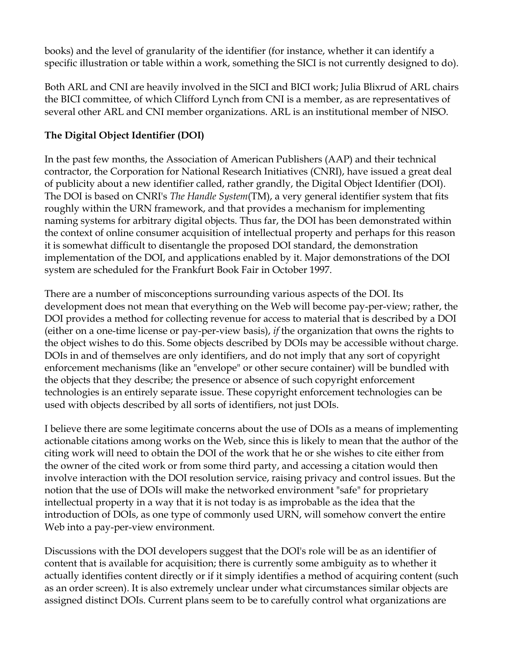books) and the level of granularity of the identifier (for instance, whether it can identify a specific illustration or table within a work, something the SICI is not currently designed to do).

Both ARL and CNI are heavily involved in the SICI and BICI work; Julia Blixrud of ARL chairs the BICI committee, of which Clifford Lynch from CNI is a member, as are representatives of several other ARL and CNI member organizations. ARL is an institutional member of NISO.

# **The Digital Object Identifier (DOI)**

In the past few months, the Association of American Publishers (AAP) and their technical contractor, the Corporation for National Research Initiatives (CNRI), have issued a great deal of publicity about a new identifier called, rather grandly, the Digital Object Identifier (DOI). The DOI is based on CNRI's *The Handle System*(TM), a very general identifier system that fits roughly within the URN framework, and that provides a mechanism for implementing naming systems for arbitrary digital objects. Thus far, the DOI has been demonstrated within the context of online consumer acquisition of intellectual property and perhaps for this reason it is somewhat difficult to disentangle the proposed DOI standard, the demonstration implementation of the DOI, and applications enabled by it. Major demonstrations of the DOI system are scheduled for the Frankfurt Book Fair in October 1997.

There are a number of misconceptions surrounding various aspects of the DOI. Its development does not mean that everything on the Web will become pay-per-view; rather, the DOI provides a method for collecting revenue for access to material that is described by a DOI (either on a one-time license or pay-per-view basis), *if* the organization that owns the rights to the object wishes to do this. Some objects described by DOIs may be accessible without charge. DOIs in and of themselves are only identifiers, and do not imply that any sort of copyright enforcement mechanisms (like an "envelope" or other secure container) will be bundled with the objects that they describe; the presence or absence of such copyright enforcement technologies is an entirely separate issue. These copyright enforcement technologies can be used with objects described by all sorts of identifiers, not just DOIs.

I believe there are some legitimate concerns about the use of DOIs as a means of implementing actionable citations among works on the Web, since this is likely to mean that the author of the citing work will need to obtain the DOI of the work that he or she wishes to cite either from the owner of the cited work or from some third party, and accessing a citation would then involve interaction with the DOI resolution service, raising privacy and control issues. But the notion that the use of DOIs will make the networked environment "safe" for proprietary intellectual property in a way that it is not today is as improbable as the idea that the introduction of DOIs, as one type of commonly used URN, will somehow convert the entire Web into a pay-per-view environment.

Discussions with the DOI developers suggest that the DOI's role will be as an identifier of content that is available for acquisition; there is currently some ambiguity as to whether it actually identifies content directly or if it simply identifies a method of acquiring content (such as an order screen). It is also extremely unclear under what circumstances similar objects are assigned distinct DOIs. Current plans seem to be to carefully control what organizations are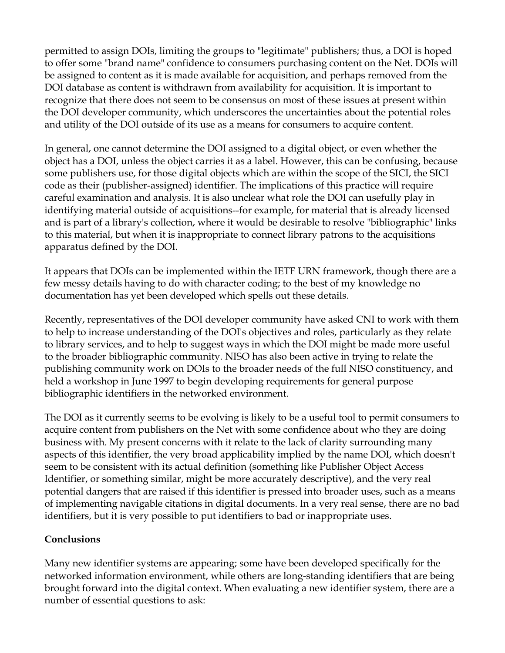permitted to assign DOIs, limiting the groups to "legitimate" publishers; thus, a DOI is hoped to offer some "brand name" confidence to consumers purchasing content on the Net. DOIs will be assigned to content as it is made available for acquisition, and perhaps removed from the DOI database as content is withdrawn from availability for acquisition. It is important to recognize that there does not seem to be consensus on most of these issues at present within the DOI developer community, which underscores the uncertainties about the potential roles and utility of the DOI outside of its use as a means for consumers to acquire content.

In general, one cannot determine the DOI assigned to a digital object, or even whether the object has a DOI, unless the object carries it as a label. However, this can be confusing, because some publishers use, for those digital objects which are within the scope of the SICI, the SICI code as their (publisher-assigned) identifier. The implications of this practice will require careful examination and analysis. It is also unclear what role the DOI can usefully play in identifying material outside of acquisitions--for example, for material that is already licensed and is part of a library's collection, where it would be desirable to resolve "bibliographic" links to this material, but when it is inappropriate to connect library patrons to the acquisitions apparatus defined by the DOI.

It appears that DOIs can be implemented within the IETF URN framework, though there are a few messy details having to do with character coding; to the best of my knowledge no documentation has yet been developed which spells out these details.

Recently, representatives of the DOI developer community have asked CNI to work with them to help to increase understanding of the DOI's objectives and roles, particularly as they relate to library services, and to help to suggest ways in which the DOI might be made more useful to the broader bibliographic community. NISO has also been active in trying to relate the publishing community work on DOIs to the broader needs of the full NISO constituency, and held a workshop in June 1997 to begin developing requirements for general purpose bibliographic identifiers in the networked environment.

The DOI as it currently seems to be evolving is likely to be a useful tool to permit consumers to acquire content from publishers on the Net with some confidence about who they are doing business with. My present concerns with it relate to the lack of clarity surrounding many aspects of this identifier, the very broad applicability implied by the name DOI, which doesn't seem to be consistent with its actual definition (something like Publisher Object Access Identifier, or something similar, might be more accurately descriptive), and the very real potential dangers that are raised if this identifier is pressed into broader uses, such as a means of implementing navigable citations in digital documents. In a very real sense, there are no bad identifiers, but it is very possible to put identifiers to bad or inappropriate uses.

## **Conclusions**

Many new identifier systems are appearing; some have been developed specifically for the networked information environment, while others are long-standing identifiers that are being brought forward into the digital context. When evaluating a new identifier system, there are a number of essential questions to ask: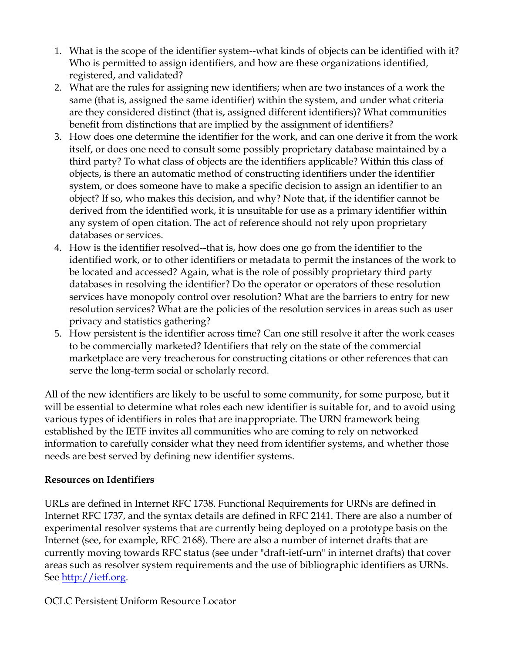- 1. What is the scope of the identifier system--what kinds of objects can be identified with it? Who is permitted to assign identifiers, and how are these organizations identified, registered, and validated?
- 2. What are the rules for assigning new identifiers; when are two instances of a work the same (that is, assigned the same identifier) within the system, and under what criteria are they considered distinct (that is, assigned different identifiers)? What communities benefit from distinctions that are implied by the assignment of identifiers?
- 3. How does one determine the identifier for the work, and can one derive it from the work itself, or does one need to consult some possibly proprietary database maintained by a third party? To what class of objects are the identifiers applicable? Within this class of objects, is there an automatic method of constructing identifiers under the identifier system, or does someone have to make a specific decision to assign an identifier to an object? If so, who makes this decision, and why? Note that, if the identifier cannot be derived from the identified work, it is unsuitable for use as a primary identifier within any system of open citation. The act of reference should not rely upon proprietary databases or services.
- 4. How is the identifier resolved--that is, how does one go from the identifier to the identified work, or to other identifiers or metadata to permit the instances of the work to be located and accessed? Again, what is the role of possibly proprietary third party databases in resolving the identifier? Do the operator or operators of these resolution services have monopoly control over resolution? What are the barriers to entry for new resolution services? What are the policies of the resolution services in areas such as user privacy and statistics gathering?
- 5. How persistent is the identifier across time? Can one still resolve it after the work ceases to be commercially marketed? Identifiers that rely on the state of the commercial marketplace are very treacherous for constructing citations or other references that can serve the long-term social or scholarly record.

All of the new identifiers are likely to be useful to some community, for some purpose, but it will be essential to determine what roles each new identifier is suitable for, and to avoid using various types of identifiers in roles that are inappropriate. The URN framework being established by the IETF invites all communities who are coming to rely on networked information to carefully consider what they need from identifier systems, and whether those needs are best served by defining new identifier systems.

## **Resources on Identifiers**

URLs are defined in Internet RFC 1738. Functional Requirements for URNs are defined in Internet RFC 1737, and the syntax details are defined in RFC 2141. There are also a number of experimental resolver systems that are currently being deployed on a prototype basis on the Internet (see, for example, RFC 2168). There are also a number of internet drafts that are currently moving towards RFC status (see under "draft-ietf-urn" in internet drafts) that cover areas such as resolver system requirements and the use of bibliographic identifiers as URNs. See http://ietf.org.

## OCLC Persistent Uniform Resource Locator